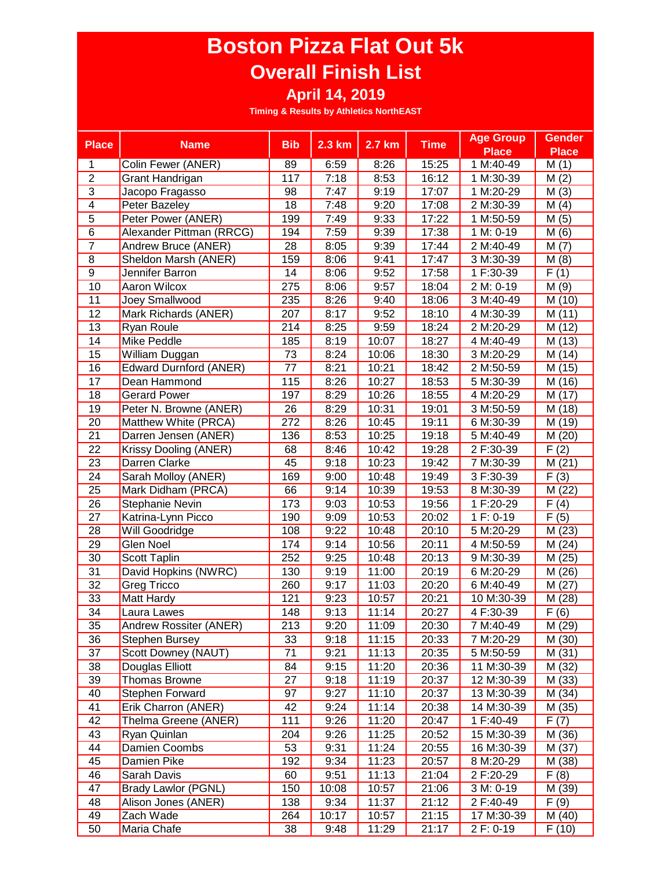| <b>Place</b>    |                               | <b>Bib</b>      | $2.3 \text{ km}$ | 2.7 km |             | <b>Age Group</b> | <b>Gender</b>      |
|-----------------|-------------------------------|-----------------|------------------|--------|-------------|------------------|--------------------|
|                 | <b>Name</b>                   |                 |                  |        | <b>Time</b> | <b>Place</b>     | <b>Place</b>       |
| 1               | Colin Fewer (ANER)            | 89              | 6:59             | 8:26   | 15:25       | 1 M:40-49        | M(1)               |
| $\overline{2}$  | Grant Handrigan               | 117             | 7:18             | 8:53   | 16:12       | 1 M:30-39        | M(2)               |
| $\overline{3}$  | Jacopo Fragasso               | 98              | 7:47             | 9:19   | 17:07       | 1 M:20-29        | M(3)               |
| $\overline{4}$  | Peter Bazeley                 | 18              | 7:48             | 9:20   | 17:08       | 2 M:30-39        | M(4)               |
| $\overline{5}$  | Peter Power (ANER)            | 199             | 7:49             | 9:33   | 17:22       | 1 M:50-59        | M(5)               |
| $\overline{6}$  | Alexander Pittman (RRCG)      | 194             | 7:59             | 9:39   | 17:38       | 1 M: 0-19        | M(6)               |
| $\overline{7}$  | Andrew Bruce (ANER)           | 28              | 8:05             | 9:39   | 17:44       | 2 M:40-49        | M(7)               |
| 8               | Sheldon Marsh (ANER)          | 159             | 8:06             | 9:41   | 17:47       | 3 M:30-39        | M(8)               |
| $\overline{9}$  | Jennifer Barron               | 14              | 8:06             | 9:52   | 17:58       | 1 F:30-39        | F(1)               |
| 10              | Aaron Wilcox                  | 275             | 8:06             | 9:57   | 18:04       | 2 M: 0-19        | M(9)               |
| 11              | Joey Smallwood                | 235             | 8:26             | 9:40   | 18:06       | 3 M:40-49        | M (10)             |
| 12              | Mark Richards (ANER)          | 207             | 8:17             | 9:52   | 18:10       | 4 M:30-39        | M(11)              |
| 13              | Ryan Roule                    | 214             | 8:25             | 9:59   | 18:24       | 2 M:20-29        | M (12)             |
| 14              | Mike Peddle                   | 185             | 8:19             | 10:07  | 18:27       | 4 M:40-49        | M (13)             |
| 15              | William Duggan                | $\overline{73}$ | 8:24             | 10:06  | 18:30       | 3 M:20-29        | M (14)             |
| 16              | <b>Edward Durnford (ANER)</b> | 77              | 8:21             | 10:21  | 18:42       | 2 M:50-59        | M (15)             |
| 17              | Dean Hammond                  | 115             | 8:26             | 10:27  | 18:53       | 5 M:30-39        | M (16)             |
| 18              | <b>Gerard Power</b>           | 197             | 8:29             | 10:26  | 18:55       | 4 M:20-29        | M (17)             |
| 19              | Peter N. Browne (ANER)        | 26              | 8:29             | 10:31  | 19:01       | 3 M:50-59        | M (18)             |
| 20              | Matthew White (PRCA)          | 272             | 8:26             | 10:45  | 19:11       | 6 M:30-39        | M (19)             |
| $\overline{21}$ | Darren Jensen (ANER)          | 136             | 8:53             | 10:25  | 19:18       | 5 M:40-49        | M (20)             |
| 22              | Krissy Dooling (ANER)         | 68              | 8:46             | 10:42  | 19:28       | 2 F:30-39        | F(2)               |
| $\overline{23}$ | Darren Clarke                 | 45              | 9:18             | 10:23  | 19:42       | 7 M:30-39        | M(21)              |
| 24              | Sarah Molloy (ANER)           | 169             | 9:00             | 10:48  | 19:49       | 3 F:30-39        | F(3)               |
| 25              | Mark Didham (PRCA)            | 66              | 9:14             | 10:39  | 19:53       | 8 M:30-39        | M (22)             |
| $\overline{26}$ | Stephanie Nevin               | 173             | 9:03             | 10:53  | 19:56       | 1 F:20-29        | $\overline{F(4)}$  |
| $\overline{27}$ | Katrina-Lynn Picco            | 190             | 9:09             | 10:53  | 20:02       | 1 F: 0-19        | $\overline{F(5)}$  |
| $\overline{28}$ | Will Goodridge                | 108             | 9:22             | 10:48  | 20:10       | 5 M:20-29        | M(23)              |
| 29              | <b>Glen Noel</b>              | 174             | 9:14             | 10:56  | 20:11       | 4 M:50-59        | M(24)              |
| $\overline{30}$ | Scott Taplin                  | 252             | 9:25             | 10:48  | 20:13       | 9 M:30-39        | $\overline{M(25)}$ |
| 31              | David Hopkins (NWRC)          | 130             | 9:19             | 11:00  | 20:19       | 6 M:20-29        | M (26)             |
| $\overline{32}$ | Greg Tricco                   | 260             | 9:17             | 11:03  | 20:20       | 6 M:40-49        | M(27)              |
| 33              | Matt Hardy                    | 121             | 9:23             | 10:57  | 20:21       | 10 M:30-39       | M (28)             |
| $\overline{34}$ | Laura Lawes                   | 148             | 9:13             | 11:14  | 20:27       | 4 F:30-39        | F(6)               |
| 35              | Andrew Rossiter (ANER)        | 213             | 9:20             | 11:09  | 20:30       | 7 M:40-49        | M (29)             |
| 36              | <b>Stephen Bursey</b>         | 33              | 9:18             | 11:15  | 20:33       | 7 M:20-29        | M (30)             |
| 37              | Scott Downey (NAUT)           | 71              | 9:21             | 11:13  | 20:35       | 5 M:50-59        | M (31)             |
| 38              | Douglas Elliott               | 84              | 9:15             | 11:20  | 20:36       | 11 M:30-39       | M (32)             |
| 39              | Thomas Browne                 | 27              | 9:18             | 11:19  | 20:37       | 12 M:30-39       | M (33)             |
| 40              | Stephen Forward               | 97              | 9:27             | 11:10  | 20:37       | 13 M:30-39       | M (34)             |
| 41              | Erik Charron (ANER)           | 42              | 9:24             | 11:14  | 20:38       | 14 M:30-39       | M (35)             |
| 42              | Thelma Greene (ANER)          | 111             | 9:26             | 11:20  | 20:47       | 1 F:40-49        | F(7)               |
| 43              | Ryan Quinlan                  | 204             | 9:26             | 11:25  | 20:52       | 15 M:30-39       | M (36)             |
| 44              | Damien Coombs                 | 53              | 9:31             | 11:24  | 20:55       | 16 M:30-39       | M (37)             |
| 45              | Damien Pike                   | 192             | 9:34             | 11:23  | 20:57       | 8 M:20-29        | M (38)             |
| 46              | Sarah Davis                   | 60              | 9:51             | 11:13  | 21:04       | 2 F:20-29        | F(8)               |
| 47              | Brady Lawlor (PGNL)           | 150             | 10:08            | 10:57  | 21:06       | 3 M: 0-19        | M (39)             |
| 48              | Alison Jones (ANER)           | 138             | 9:34             | 11:37  | 21:12       | 2 F:40-49        | F(9)               |
| 49              | Zach Wade                     | 264             | 10:17            | 10:57  | 21:15       | 17 M:30-39       | M (40)             |
| 50              | Maria Chafe                   | 38              | 9:48             | 11:29  | 21:17       | 2 F: 0-19        | F(10)              |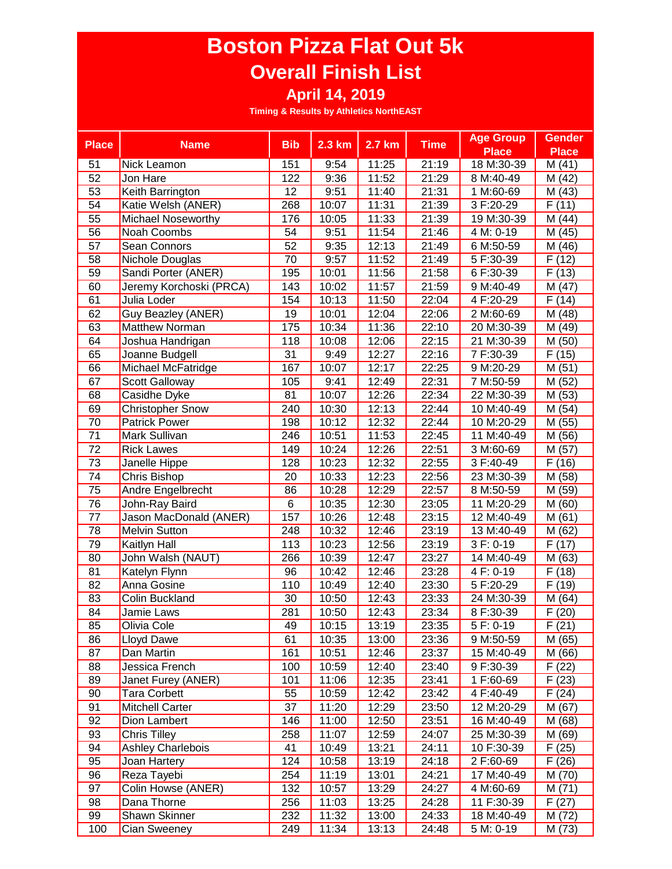| <b>Place</b>    |                           | <b>Bib</b>     | 2.3 km | 2.7 km | <b>Time</b> | <b>Age Group</b> | <b>Gender</b>       |
|-----------------|---------------------------|----------------|--------|--------|-------------|------------------|---------------------|
|                 | <b>Name</b>               |                |        |        |             | <b>Place</b>     | <b>Place</b>        |
| 51              | Nick Leamon               | 151            | 9:54   | 11:25  | 21:19       | 18 M:30-39       | M(41)               |
| 52              | Jon Hare                  | 122            | 9:36   | 11:52  | 21:29       | 8 M:40-49        | M (42)              |
| 53              | Keith Barrington          | 12             | 9:51   | 11:40  | 21:31       | 1 M:60-69        | M (43)              |
| 54              | Katie Welsh (ANER)        | 268            | 10:07  | 11:31  | 21:39       | 3 F:20-29        | F(11)               |
| 55              | <b>Michael Noseworthy</b> | 176            | 10:05  | 11:33  | 21:39       | 19 M:30-39       | M (44)              |
| 56              | Noah Coombs               | 54             | 9:51   | 11:54  | 21:46       | 4 M: 0-19        | M (45)              |
| 57              | Sean Connors              | 52             | 9:35   | 12:13  | 21:49       | 6 M:50-59        | M (46)              |
| 58              | Nichole Douglas           | 70             | 9:57   | 11:52  | 21:49       | 5 F:30-39        | F(12)               |
| 59              | Sandi Porter (ANER)       | 195            | 10:01  | 11:56  | 21:58       | 6 F:30-39        | F(13)               |
| 60              | Jeremy Korchoski (PRCA)   | 143            | 10:02  | 11:57  | 21:59       | 9 M:40-49        | M (47)              |
| 61              | Julia Loder               | 154            | 10:13  | 11:50  | 22:04       | 4 F:20-29        | $\overline{F}$ (14) |
| 62              | Guy Beazley (ANER)        | 19             | 10:01  | 12:04  | 22:06       | 2 M:60-69        | M (48)              |
| 63              | <b>Matthew Norman</b>     | 175            | 10:34  | 11:36  | 22:10       | 20 M:30-39       | $\overline{M}$ (49) |
| 64              | Joshua Handrigan          | 118            | 10:08  | 12:06  | 22:15       | 21 M:30-39       | M (50)              |
| 65              | Joanne Budgell            | 31             | 9:49   | 12:27  | 22:16       | 7 F:30-39        | F(15)               |
| 66              | Michael McFatridge        | 167            | 10:07  | 12:17  | 22:25       | 9 M:20-29        | M(51)               |
| 67              | <b>Scott Galloway</b>     | 105            | 9:41   | 12:49  | 22:31       | 7 M:50-59        | M (52)              |
| 68              | Casidhe Dyke              | 81             | 10:07  | 12:26  | 22:34       | 22 M:30-39       | M (53)              |
| 69              | <b>Christopher Snow</b>   | 240            | 10:30  | 12:13  | 22:44       | 10 M:40-49       | M (54)              |
| 70              | <b>Patrick Power</b>      | 198            | 10:12  | 12:32  | 22:44       | 10 M:20-29       | M (55)              |
| 71              | Mark Sullivan             | 246            | 10:51  | 11:53  | 22:45       | 11 M:40-49       | M (56)              |
| 72              | <b>Rick Lawes</b>         | 149            | 10:24  | 12:26  | 22:51       | 3 M:60-69        | M (57)              |
| 73              | Janelle Hippe             | 128            | 10:23  | 12:32  | 22:55       | 3 F:40-49        | F(16)               |
| 74              | Chris Bishop              | 20             | 10:33  | 12:23  | 22:56       | 23 M:30-39       | M (58)              |
| 75              | Andre Engelbrecht         | 86             | 10:28  | 12:29  | 22:57       | 8 M:50-59        | M (59)              |
| 76              | John-Ray Baird            | $\overline{6}$ | 10:35  | 12:30  | 23:05       | 11 M:20-29       | M (60)              |
| 77              | Jason MacDonald (ANER)    | 157            | 10:26  | 12:48  | 23:15       | 12 M:40-49       | M(61)               |
| $\overline{78}$ | <b>Melvin Sutton</b>      | 248            | 10:32  | 12:46  | 23:19       | 13 M:40-49       | M(62)               |
| 79              | <b>Kaitlyn Hall</b>       | 113            | 10:23  | 12:56  | 23:19       | $3 F: 0-19$      | $\overline{F(17)}$  |
| 80              | John Walsh (NAUT)         | 266            | 10:39  | 12:47  | 23:27       | 14 M:40-49       | M (63)              |
| 81              | Katelyn Flynn             | 96             | 10:42  | 12:46  | 23:28       | 4 F: 0-19        | F(18)               |
| 82              | Anna Gosine               | 110            | 10:49  | 12:40  | 23:30       | 5 F:20-29        | F(19)               |
| 83              | Colin Buckland            | 30             | 10:50  | 12:43  | 23:33       | 24 M:30-39       | M(64)               |
| 84              | Jamie Laws                | 281            | 10:50  | 12:43  | 23:34       | 8 F:30-39        | F(20)               |
| 85              | Olivia Cole               | 49             | 10:15  | 13:19  | 23:35       | 5 F: 0-19        | F(21)               |
| 86              | Lloyd Dawe                | 61             | 10:35  | 13:00  | 23:36       | 9 M:50-59        | M (65)              |
| 87              | Dan Martin                | 161            | 10:51  | 12:46  | 23:37       | 15 M:40-49       | M (66)              |
| 88              | Jessica French            | 100            | 10:59  | 12:40  | 23:40       | 9 F:30-39        | F(22)               |
| 89              | Janet Furey (ANER)        | 101            | 11:06  | 12:35  | 23:41       | 1 F:60-69        | F(23)               |
| 90              | <b>Tara Corbett</b>       | 55             | 10:59  | 12:42  | 23:42       | 4 F:40-49        | F(24)               |
| 91              | <b>Mitchell Carter</b>    | 37             | 11:20  | 12:29  | 23:50       | 12 M:20-29       | M (67)              |
| 92              | Dion Lambert              | 146            | 11:00  | 12:50  | 23:51       | 16 M:40-49       | M (68)              |
| 93              | Chris Tilley              | 258            | 11:07  | 12:59  | 24:07       | 25 M:30-39       | M (69)              |
| 94              | <b>Ashley Charlebois</b>  | 41             | 10:49  | 13:21  | 24:11       | 10 F:30-39       | F(25)               |
| 95              | Joan Hartery              | 124            | 10:58  | 13:19  | 24:18       | 2 F:60-69        | F(26)               |
| 96              | Reza Tayebi               | 254            | 11:19  | 13:01  | 24:21       | 17 M:40-49       | M (70)              |
| 97              | Colin Howse (ANER)        | 132            | 10:57  | 13:29  | 24:27       | 4 M:60-69        | M (71)              |
| 98              | Dana Thorne               | 256            | 11:03  | 13:25  | 24:28       | 11 F:30-39       | F(27)               |
| 99              | Shawn Skinner             | 232            | 11:32  | 13:00  | 24:33       | 18 M:40-49       | M (72)              |
| 100             | Cian Sweeney              | 249            | 11:34  | 13:13  | 24:48       | 5 M: 0-19        | M (73)              |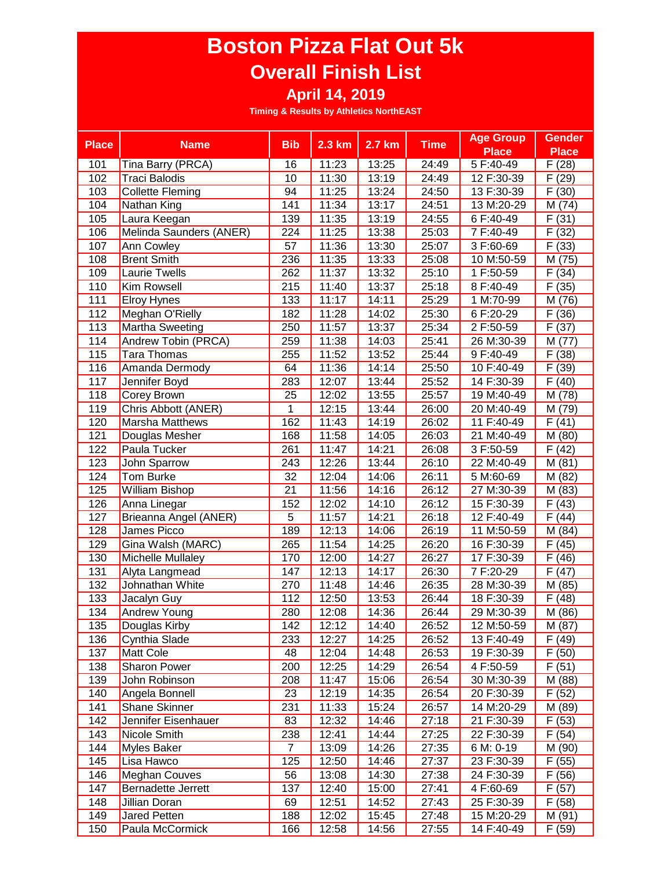|                  | <b>Name</b>              | <b>Bib</b>     | 2.3 km              | 2.7 km | <b>Time</b> | <b>Age Group</b> | <b>Gender</b>       |
|------------------|--------------------------|----------------|---------------------|--------|-------------|------------------|---------------------|
| <b>Place</b>     |                          |                |                     |        |             | <b>Place</b>     | <b>Place</b>        |
| 101              | Tina Barry (PRCA)        | 16             | 11:23               | 13:25  | 24:49       | 5 F:40-49        | F(28)               |
| 102              | <b>Traci Balodis</b>     | 10             | 11:30               | 13:19  | 24:49       | 12 F:30-39       | (29)<br>F           |
| 103              | <b>Collette Fleming</b>  | 94             | 11:25               | 13:24  | 24:50       | 13 F:30-39       | F(30)               |
| 104              | Nathan King              | 141            | 11:34               | 13:17  | 24:51       | 13 M:20-29       | M (74)              |
| 105              | Laura Keegan             | 139            | 11:35               | 13:19  | 24:55       | 6 F:40-49        | F(31)               |
| 106              | Melinda Saunders (ANER)  | 224            | 11:25               | 13:38  | 25:03       | 7 F:40-49        | $\overline{F}$ (32) |
| 107              | Ann Cowley               | 57             | 11:36               | 13:30  | 25:07       | 3 F:60-69        | F(33)               |
| 108              | <b>Brent Smith</b>       | 236            | 11:35               | 13:33  | 25:08       | 10 M:50-59       | M (75)              |
| 109              | Laurie Twells            | 262            | 11:37               | 13:32  | 25:10       | 1 F:50-59        | F(34)               |
| 110              | Kim Rowsell              | 215            | 11:40               | 13:37  | 25:18       | 8 F:40-49        | F(35)               |
| 111              | <b>Elroy Hynes</b>       | 133            | 11:17               | 14:11  | 25:29       | 1 M:70-99        | M (76)              |
| 112              | Meghan O'Rielly          | 182            | 11:28               | 14:02  | 25:30       | 6 F:20-29        | F(36)               |
| 113              | Martha Sweeting          | 250            | 11:57               | 13:37  | 25:34       | 2 F:50-59        | F(37)               |
| 114              | Andrew Tobin (PRCA)      | 259            | 11:38               | 14:03  | 25:41       | 26 M:30-39       | M (77)              |
| 115              | Tara Thomas              | 255            | 11:52               | 13:52  | 25:44       | 9 F:40-49        | F(38)               |
| 116              | Amanda Dermody           | 64             | 11:36               | 14:14  | 25:50       | 10 F:40-49       | F(39)               |
| 117              | Jennifer Boyd            | 283            | 12:07               | 13:44  | 25:52       | 14 F:30-39       | F(40)               |
| 118              | Corey Brown              | 25             | 12:02               | 13:55  | 25:57       | 19 M:40-49       | M (78)              |
| 119              | Chris Abbott (ANER)      | 1              | 12:15               | 13:44  | 26:00       | 20 M:40-49       | M (79)              |
| 120              | <b>Marsha Matthews</b>   | 162            | 11:43               | 14:19  | 26:02       | 11 F:40-49       | F(41)               |
| 121              | Douglas Mesher           | 168            | 11:58               | 14:05  | 26:03       | 21 M:40-49       | M (80)              |
| 122              | Paula Tucker             | 261            | 11:47               | 14:21  | 26:08       | 3 F:50-59        | $\overline{F}$ (42) |
| 123              | John Sparrow             | 243            | $\overline{1}$ 2:26 | 13:44  | 26:10       | 22 M:40-49       | M(81)               |
| 124              | Tom Burke                | 32             | $\overline{1}$ 2:04 | 14:06  | 26:11       | 5 M:60-69        | M (82)              |
| 125              | William Bishop           | 21             | 11:56               | 14:16  | 26:12       | 27 M:30-39       | M (83)              |
| 126              | Anna Linegar             | 152            | $\overline{1}$ 2:02 | 14:10  | 26:12       | 15 F:30-39       | $\overline{F}$ (43) |
| 127              | Brieanna Angel (ANER)    | $\overline{5}$ | 11:57               | 14:21  | 26:18       | 12 F:40-49       | F(44)               |
| 128              | James Picco              | 189            | 12:13               | 14:06  | 26:19       | 11 M:50-59       | M (84)              |
| 129              | Gina Walsh (MARC)        | 265            | 11:54               | 14:25  | 26:20       | 16 F:30-39       | $\overline{F(45)}$  |
| 130              | <b>Michelle Mullaley</b> | 170            | 12:00               | 14:27  | 26:27       | 17 F:30-39       | F(46)               |
| 131              | Alyta Langmead           | 147            | 12:13               | 14:17  | 26:30       | 7 F:20-29        | F(47)               |
| 132              | Johnathan White          | 270            | 11:48               | 14:46  | 26:35       | 28 M:30-39       | M (85)              |
| 133              | Jacalyn Guy              | 112            | 12:50               | 13:53  | 26:44       | 18 F:30-39       | F(48)               |
| 134              | <b>Andrew Young</b>      | 280            | 12:08               | 14:36  | 26:44       | 29 M:30-39       | M (86)              |
| $\overline{135}$ | Douglas Kirby            | 142            | 12:12               | 14:40  | 26:52       | 12 M:50-59       | M (87)              |
| 136              | Cynthia Slade            | 233            | 12:27               | 14:25  | 26:52       | 13 F:40-49       | F(49)               |
| 137              | Matt Cole                | 48             | 12:04               | 14:48  | 26:53       | 19 F:30-39       | F(50)               |
| 138              | Sharon Power             | 200            | 12:25               | 14:29  | 26:54       | 4 F:50-59        | F(51)               |
| 139              | John Robinson            | 208            | 11:47               | 15:06  | 26:54       | 30 M:30-39       | M (88)              |
| 140              | Angela Bonnell           | 23             | 12:19               | 14:35  | 26:54       | 20 F:30-39       | F(52)               |
| 141              | <b>Shane Skinner</b>     | 231            | 11:33               | 15:24  | 26:57       | 14 M:20-29       | M (89)              |
| 142              | Jennifer Eisenhauer      | 83             | 12:32               | 14:46  | 27:18       | 21 F:30-39       | F(53)               |
| 143              | Nicole Smith             | 238            | 12:41               | 14:44  | 27:25       | 22 F:30-39       | F(54)               |
| 144              | Myles Baker              | $\overline{7}$ | 13:09               | 14:26  | 27:35       | 6 M: 0-19        | M (90)              |
| 145              | Lisa Hawco               | 125            | 12:50               | 14:46  | 27:37       | 23 F:30-39       | F(55)               |
| 146              | <b>Meghan Couves</b>     | 56             | 13:08               | 14:30  | 27:38       | 24 F:30-39       | F(56)               |
| 147              | Bernadette Jerrett       | 137            | 12:40               | 15:00  | 27:41       | 4 F:60-69        | F(57)               |
| 148              | Jillian Doran            | 69             | 12:51               | 14:52  | 27:43       | 25 F:30-39       | F(58)               |
| 149              | Jared Petten             | 188            | 12:02               | 15:45  | 27:48       | 15 M:20-29       | M (91)              |
| 150              | Paula McCormick          | 166            | 12:58               | 14:56  | 27:55       | 14 F:40-49       | F(59)               |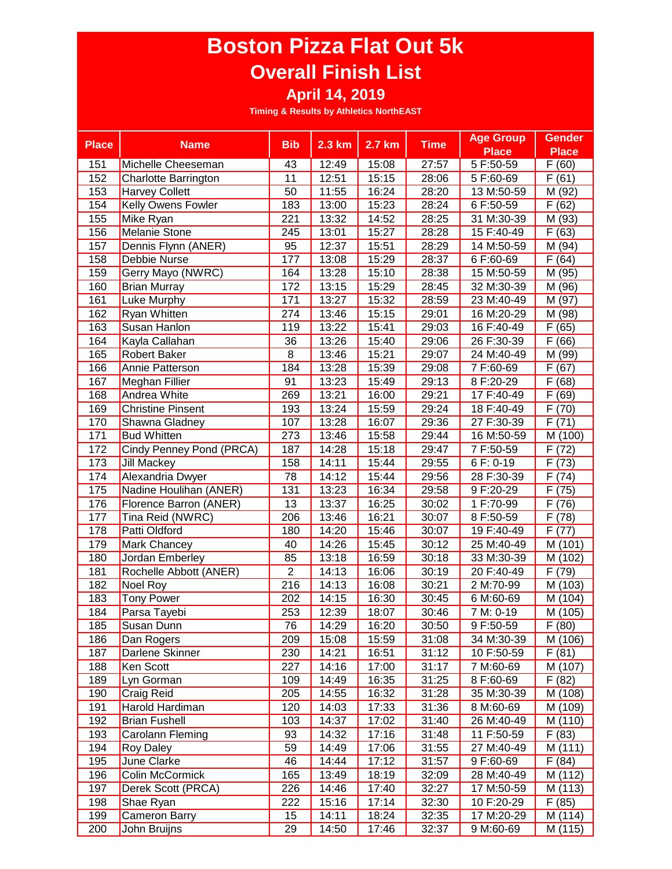| <b>Place</b> | <b>Name</b>                 | <b>Bib</b>      | 2.3 km | 2.7 km | <b>Time</b> | <b>Age Group</b> | <b>Gender</b>       |
|--------------|-----------------------------|-----------------|--------|--------|-------------|------------------|---------------------|
|              |                             |                 |        |        |             | <b>Place</b>     | <b>Place</b>        |
| 151          | Michelle Cheeseman          | 43              | 12:49  | 15:08  | 27:57       | 5 F:50-59        | F(60)               |
| 152          | <b>Charlotte Barrington</b> | 11              | 12:51  | 15:15  | 28:06       | 5 F:60-69        | F(61)               |
| 153          | <b>Harvey Collett</b>       | 50              | 11:55  | 16:24  | 28:20       | 13 M:50-59       | M (92)              |
| 154          | Kelly Owens Fowler          | 183             | 13:00  | 15:23  | 28:24       | 6 F:50-59        | F(62)               |
| 155          | Mike Ryan                   | 221             | 13:32  | 14:52  | 28:25       | 31 M:30-39       | M (93)              |
| 156          | <b>Melanie Stone</b>        | 245             | 13:01  | 15:27  | 28:28       | 15 F:40-49       | F(63)               |
| 157          | Dennis Flynn (ANER)         | 95              | 12:37  | 15:51  | 28:29       | 14 M:50-59       | M (94)              |
| 158          | Debbie Nurse                | 177             | 13:08  | 15:29  | 28:37       | 6 F:60-69        | $\bar{F}$ (64)      |
| 159          | Gerry Mayo (NWRC)           | 164             | 13:28  | 15:10  | 28:38       | 15 M:50-59       | M (95)              |
| 160          | <b>Brian Murray</b>         | 172             | 13:15  | 15:29  | 28:45       | 32 M:30-39       | M (96)              |
| 161          | Luke Murphy                 | 171             | 13:27  | 15:32  | 28:59       | 23 M:40-49       | M (97)              |
| 162          | Ryan Whitten                | 274             | 13:46  | 15:15  | 29:01       | 16 M:20-29       | $\overline{M}$ (98) |
| 163          | Susan Hanlon                | 119             | 13:22  | 15:41  | 29:03       | 16 F:40-49       | F(65)               |
| 164          | Kayla Callahan              | 36              | 13:26  | 15:40  | 29:06       | 26 F:30-39       | $\overline{F(66)}$  |
| 165          | <b>Robert Baker</b>         | 8               | 13:46  | 15:21  | 29:07       | 24 M:40-49       | M (99)              |
| 166          | Annie Patterson             | 184             | 13:28  | 15:39  | 29:08       | 7 F:60-69        | F(67)               |
| 167          | Meghan Fillier              | 91              | 13:23  | 15:49  | 29:13       | 8 F:20-29        | F(68)               |
| 168          | Andrea White                | 269             | 13:21  | 16:00  | 29:21       | 17 F:40-49       | (69)<br>F           |
| 169          | <b>Christine Pinsent</b>    | 193             | 13:24  | 15:59  | 29:24       | 18 F:40-49       | F<br>(70)           |
| 170          | Shawna Gladney              | 107             | 13:28  | 16:07  | 29:36       | 27 F:30-39       | F(71)               |
| 171          | <b>Bud Whitten</b>          | 273             | 13:46  | 15:58  | 29:44       | 16 M:50-59       | M (100)             |
| 172          | Cindy Penney Pond (PRCA)    | 187             | 14:28  | 15:18  | 29:47       | 7 F:50-59        | F(72)               |
| 173          | <b>Jill Mackey</b>          | 158             | 14:11  | 15:44  | 29:55       | 6 F: 0-19        | F(73)               |
| 174          | Alexandria Dwyer            | 78              | 14:12  | 15:44  | 29:56       | 28 F:30-39       | F(74)               |
| 175          | Nadine Houlihan (ANER)      | 131             | 13:23  | 16:34  | 29:58       | 9 F:20-29        | F(75)               |
| 176          | Florence Barron (ANER)      | $\overline{13}$ | 13:37  | 16:25  | 30:02       | 1 F:70-99        | $\overline{F}$ (76) |
| 177          | Tina Reid (NWRC)            | 206             | 13:46  | 16:21  | 30:07       | 8 F:50-59        | $\overline{F}$ (78) |
| 178          | Patti Oldford               | 180             | 14:20  | 15:46  | 30:07       | 19 F:40-49       | $\overline{F(77)}$  |
| 179          | Mark Chancey                | 40              | 14:26  | 15:45  | 30:12       | 25 M:40-49       | $\overline{M(101)}$ |
| 180          | Jordan Emberley             | 85              | 13:18  | 16:59  | 30:18       | 33 M:30-39       | M (102)             |
| 181          | Rochelle Abbott (ANER)      | $\overline{2}$  | 14:13  | 16:06  | 30:19       | 20 F:40-49       | F(79)               |
| 182          | Noel Roy                    | 216             | 14:13  | 16:08  | 30:21       | 2 M:70-99        | M (103)             |
| 183          | <b>Tony Power</b>           | 202             | 14:15  | 16:30  | 30:45       | 6 M:60-69        | M (104)             |
| 184          | Parsa Tayebi                | 253             | 12:39  | 18:07  | 30:46       | 7 M: 0-19        | M (105)             |
| 185          | Susan Dunn                  | 76              | 14:29  | 16:20  | 30:50       | 9 F:50-59        | F(80)               |
| 186          | Dan Rogers                  | 209             | 15:08  | 15:59  | 31:08       | 34 M:30-39       | M (106)             |
| 187          | Darlene Skinner             | 230             | 14:21  | 16:51  | 31:12       | 10 F:50-59       | F(81)               |
| 188          | Ken Scott                   | 227             | 14:16  | 17:00  | 31:17       | 7 M:60-69        | M (107)             |
| 189          | Lyn Gorman                  | 109             | 14:49  | 16:35  | 31:25       | 8 F:60-69        | F(82)               |
| 190          | Craig Reid                  | 205             | 14:55  | 16:32  | 31:28       | 35 M:30-39       | M (108)             |
| 191          | Harold Hardiman             | 120             | 14:03  | 17:33  | 31:36       | 8 M:60-69        | M (109)             |
| 192          | <b>Brian Fushell</b>        | 103             | 14:37  | 17:02  | 31:40       | 26 M:40-49       | M (110)             |
| 193          | Carolann Fleming            | 93              | 14:32  | 17:16  | 31:48       | 11 F:50-59       | F(83)               |
| 194          | Roy Daley                   | 59              | 14:49  | 17:06  | 31:55       | 27 M:40-49       | M (111)             |
| 195          | June Clarke                 | 46              | 14:44  | 17:12  | 31:57       | 9 F:60-69        | F(84)               |
| 196          | Colin McCormick             | 165             | 13:49  | 18:19  | 32:09       | 28 M:40-49       | M (112)             |
| 197          | Derek Scott (PRCA)          | 226             | 14:46  | 17:40  | 32:27       | 17 M:50-59       | M (113)             |
| 198          | Shae Ryan                   | 222             | 15:16  | 17:14  | 32:30       | 10 F:20-29       | F(85)               |
| 199          | <b>Cameron Barry</b>        | 15              | 14:11  | 18:24  | 32:35       | 17 M:20-29       | M (114)             |
| 200          | John Bruijns                | 29              | 14:50  | 17:46  | 32:37       | 9 M:60-69        | M (115)             |